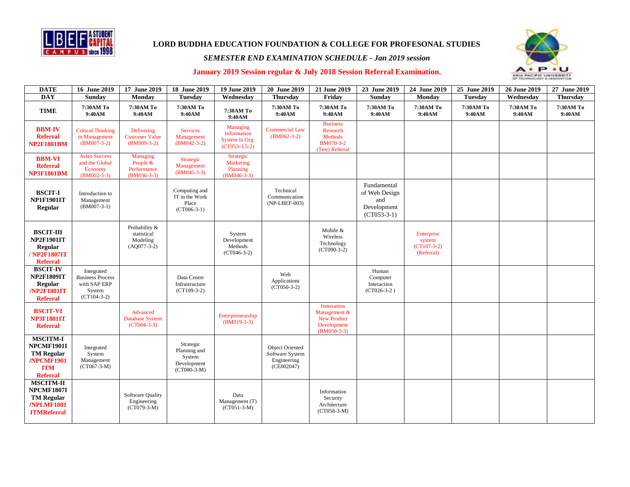

**LORD BUDDHA EDUCATION FOUNDATION & COLLEGE FOR PROFESONAL STUDIES**

## *SEMESTER END EXAMINATION SCHEDULE - Jan 2019 session*



## **January 2019 Session regular & July 2018 Session Referral Examination.**

| <b>DATE</b>                                                                                       | 16 June 2019                                                                     | 17 June 2019                                              | 18 June 2019                                                        | 19 June 2019                                                        | 20 June 2019                                                           | 21 June 2019                                                                     | 23 June 2019                                                        | 24 June 2019                                        | 25 June 2019        | 26 June 2019        | 27 June 2019        |
|---------------------------------------------------------------------------------------------------|----------------------------------------------------------------------------------|-----------------------------------------------------------|---------------------------------------------------------------------|---------------------------------------------------------------------|------------------------------------------------------------------------|----------------------------------------------------------------------------------|---------------------------------------------------------------------|-----------------------------------------------------|---------------------|---------------------|---------------------|
| <b>DAY</b>                                                                                        | Sunday                                                                           | Monday                                                    | <b>Tuesday</b>                                                      | Wednesday                                                           | <b>Thursday</b>                                                        | Friday                                                                           | <b>Sunday</b>                                                       | Monday                                              | <b>Tuesday</b>      | Wednesday           | <b>Thursday</b>     |
| <b>TIME</b>                                                                                       | 7:30AM To<br>9:40AM                                                              | 7:30AM To<br>9:40AM                                       | 7:30AM To<br>9:40AM                                                 | 7:30AM To<br>9:40AM                                                 | 7:30AM To<br>9:40AM                                                    | 7:30AM To<br>9:40AM                                                              | 7:30AM To<br>9:40AM                                                 | 7:30AM To<br>9:40AM                                 | 7:30AM To<br>9:40AM | 7:30AM To<br>9:40AM | 7:30AM To<br>9:40AM |
| <b>BBM-IV</b><br><b>Referral</b><br><b>NP2F1801BM</b>                                             | <b>Critical Thinking</b><br>in Management<br>$(BM007-3-2)$                       | Delivering<br><b>Customer Value</b><br>$(BM009-3-2)$      | <b>Services</b><br>Management<br>$(BM042-3-2)$                      | <b>Managing</b><br>Information<br>System in Org.<br>$(CT053-3.5-2)$ | <b>Commercial Law</b><br>$(BM062-3-2)$                                 | <b>Business</b><br>Research<br><b>Methods</b><br>BM070-3-2<br>(Test) Referral    |                                                                     |                                                     |                     |                     |                     |
| <b>BBM-VI</b><br><b>Referral</b><br><b>NP3F1801BM</b>                                             | <b>Asian Success</b><br>and the Global<br>Economy<br>$(BM002-3-3)$               | Managing<br>People &<br>Performance<br>$(BM036-3-3)$      | Strategic<br>Management<br>$(BM045-3-3)$                            | Strategic<br><b>Marketing</b><br>Planning<br>$(BM046-3-3)$          |                                                                        |                                                                                  |                                                                     |                                                     |                     |                     |                     |
| <b>BSCIT-I</b><br><b>NP1F1901IT</b><br>Regular                                                    | Introduction to<br>Management<br>$(BM007-3-1)$                                   |                                                           | Computing and<br>IT in the Work<br>Place<br>$(CT006-3-1)$           |                                                                     | Technical<br>Communication<br>(NP-LBEF-003)                            |                                                                                  | Fundamental<br>of Web Design<br>and<br>Development<br>$(CT053-3-1)$ |                                                     |                     |                     |                     |
| <b>BSCIT-III</b><br><b>NP2F1901IT</b><br>Regular<br>/ NP2F1807IT<br><b>Referral</b>               |                                                                                  | Probability &<br>statistical<br>Modeling<br>$(AQ077-3-2)$ |                                                                     | System<br>Development<br>Methods<br>$(CT046-3-2)$                   |                                                                        | Mobile &<br>Wireless<br>Technology<br>$(CT090-3-2)$                              |                                                                     | Enterprise<br>system<br>$(CT107-3-2)$<br>(Referral) |                     |                     |                     |
| <b>BSCIT-IV</b><br><b>NP2F1809IT</b><br>Regular<br>/NP2F1801IT<br><b>Referral</b>                 | Integrated<br><b>Business Process</b><br>with SAP ERP<br>System<br>$(CT104-3-2)$ |                                                           | Data Centre<br>Infrastructure<br>$(CT109-3-2)$                      |                                                                     | Web<br>Applications<br>$(CT050-3-2)$                                   |                                                                                  | Human<br>Computer<br>Interaction<br>$(CT026-3-2)$                   |                                                     |                     |                     |                     |
| <b>BSCIT-VI</b><br><b>NP3F1801IT</b><br><b>Referral</b>                                           |                                                                                  | Advanced<br><b>Database System</b><br>$(CT004-3-3)$       |                                                                     | Entrepreneurship<br>$(BM019-3-3)$                                   |                                                                        | Innovation<br>Management &<br><b>New Product</b><br>Development<br>$(BM050-3-3)$ |                                                                     |                                                     |                     |                     |                     |
| <b>MSCITM-I</b><br>NPCMF1901I<br><b>TM Regular</b><br>/NPCMF1901<br><b>ITM</b><br><b>Referral</b> | Integrated<br>System<br>Management<br>$(CT067-3-M)$                              |                                                           | Strategic<br>Planning and<br>System<br>Development<br>$(CT080-3-M)$ |                                                                     | <b>Object Oriented</b><br>Software System<br>Engineering<br>(CE002047) |                                                                                  |                                                                     |                                                     |                     |                     |                     |
| <b>MSCITM-II</b><br>NPCMF1807I<br><b>TM Regular</b><br>/NPLMF1801<br><b>ITMReferral</b>           |                                                                                  | Software Quality<br>Engineering<br>$(CT079-3-M)$          |                                                                     | Data<br>Management (T)<br>$(CT051-3-M)$                             |                                                                        | Information<br>Security<br>Architecture<br>$(CT058-3-M)$                         |                                                                     |                                                     |                     |                     |                     |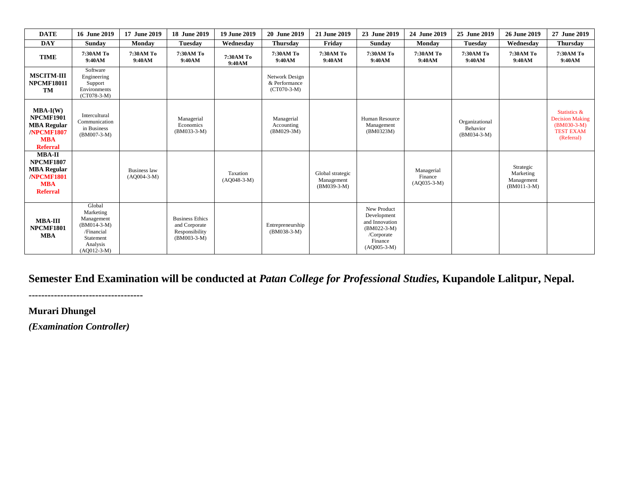| <b>DATE</b>                                                                                            | 16 June 2019                                                                                               | 17 June 2019                  | 18 June 2019                                                               | <b>19 June 2019</b>       | 20 June 2019                                     | 21 June 2019                                    | 23 June 2019                                                                                            | 24 June 2019                           | 25 June 2019                                | 26 June 2019                                          | 27 June 2019                                                                              |
|--------------------------------------------------------------------------------------------------------|------------------------------------------------------------------------------------------------------------|-------------------------------|----------------------------------------------------------------------------|---------------------------|--------------------------------------------------|-------------------------------------------------|---------------------------------------------------------------------------------------------------------|----------------------------------------|---------------------------------------------|-------------------------------------------------------|-------------------------------------------------------------------------------------------|
| <b>DAY</b>                                                                                             | <b>Sunday</b>                                                                                              | Monday                        | <b>Tuesday</b>                                                             | Wednesday                 | <b>Thursday</b>                                  | Friday                                          | Sunday                                                                                                  | <b>Monday</b>                          | <b>Tuesday</b>                              | Wednesday                                             | <b>Thursday</b>                                                                           |
| <b>TIME</b>                                                                                            | 7:30AM To<br>9:40AM                                                                                        | 7:30AM To<br>9:40AM           | 7:30AM To<br>9:40AM                                                        | 7:30AM To<br>9:40AM       | 7:30AM To<br>9:40AM                              | 7:30AM To<br>9:40AM                             | 7:30AM To<br>9:40AM                                                                                     | 7:30AM To<br>9:40AM                    | 7:30AM To<br>9:40AM                         | 7:30AM To<br>9:40AM                                   | 7:30AM To<br>9:40AM                                                                       |
| <b>MSCITM-III</b><br>NPCMF1801I<br><b>TM</b>                                                           | Software<br>Engineering<br>Support<br>Environments<br>$(CT078-3-M)$                                        |                               |                                                                            |                           | Network Design<br>& Performance<br>$(CT070-3-M)$ |                                                 |                                                                                                         |                                        |                                             |                                                       |                                                                                           |
| $MBA-I(W)$<br><b>NPCMF1901</b><br><b>MBA Regular</b><br>/NPCMF1807<br><b>MBA</b><br><b>Referral</b>    | Intercultural<br>Communication<br>in Business<br>$(BM007-3-M)$                                             |                               | Managerial<br>Economics<br>$(BM033-3-M)$                                   |                           | Managerial<br>Accounting<br>$(BM029-3M)$         |                                                 | Human Resource<br>Management<br>(BM0323M)                                                               |                                        | Organizational<br>Behavior<br>$(BM034-3-M)$ |                                                       | Statistics &<br><b>Decision Making</b><br>$(BM030-3-M)$<br><b>TEST EXAM</b><br>(Referral) |
| <b>MBA-II</b><br><b>NPCMF1807</b><br><b>MBA Regular</b><br>/NPCMF1801<br><b>MBA</b><br><b>Referral</b> |                                                                                                            | Business law<br>$(A0004-3-M)$ |                                                                            | Taxation<br>$(AQ048-3-M)$ |                                                  | Global strategic<br>Management<br>$(BM039-3-M)$ |                                                                                                         | Managerial<br>Finance<br>$(AQ035-3-M)$ |                                             | Strategic<br>Marketing<br>Management<br>$(BM011-3-M)$ |                                                                                           |
| <b>MBA-III</b><br><b>NPCMF1801</b><br><b>MBA</b>                                                       | Global<br>Marketing<br>Management<br>$(BM014-3-M)$<br>/Financial<br>Statement<br>Analysis<br>$(AQ012-3-M)$ |                               | <b>Business Ethics</b><br>and Corporate<br>Responsibility<br>$(BM003-3-M)$ |                           | Entrepreneurship<br>$(BM038-3-M)$                |                                                 | New Product<br>Development<br>and Innovation<br>$(BM022-3-M)$<br>/Corporate<br>Finance<br>$(AQ005-3-M)$ |                                        |                                             |                                                       |                                                                                           |

## **Semester End Examination will be conducted at** *Patan College for Professional Studies,* **Kupandole Lalitpur, Nepal.**

**------------------------------------**

**Murari Dhungel**

*(Examination Controller)*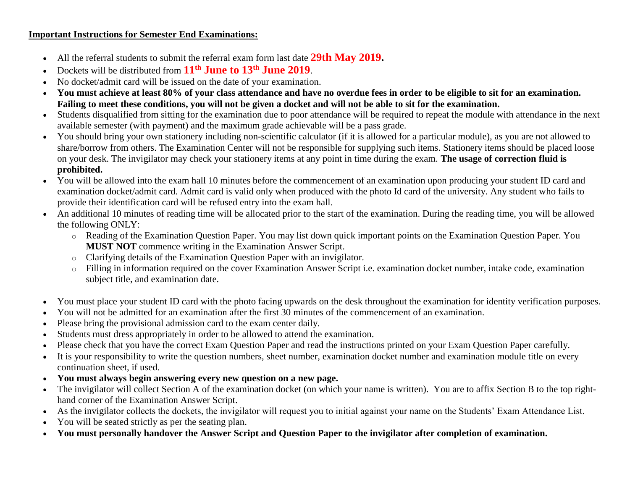## **Important Instructions for Semester End Examinations:**

- All the referral students to submit the referral exam form last date **29th May 2019.**
- Dockets will be distributed from **11th June to 13th June 2019**.
- No docket/admit card will be issued on the date of your examination.
- **You must achieve at least 80% of your class attendance and have no overdue fees in order to be eligible to sit for an examination. Failing to meet these conditions, you will not be given a docket and will not be able to sit for the examination.**
- Students disqualified from sitting for the examination due to poor attendance will be required to repeat the module with attendance in the next available semester (with payment) and the maximum grade achievable will be a pass grade.
- You should bring your own stationery including non-scientific calculator (if it is allowed for a particular module), as you are not allowed to share/borrow from others. The Examination Center will not be responsible for supplying such items. Stationery items should be placed loose on your desk. The invigilator may check your stationery items at any point in time during the exam. **The usage of correction fluid is prohibited.**
- You will be allowed into the exam hall 10 minutes before the commencement of an examination upon producing your student ID card and examination docket/admit card. Admit card is valid only when produced with the photo Id card of the university. Any student who fails to provide their identification card will be refused entry into the exam hall.
- An additional 10 minutes of reading time will be allocated prior to the start of the examination. During the reading time, you will be allowed the following ONLY:
	- o Reading of the Examination Question Paper. You may list down quick important points on the Examination Question Paper. You **MUST NOT** commence writing in the Examination Answer Script.
	- o Clarifying details of the Examination Question Paper with an invigilator.
	- o Filling in information required on the cover Examination Answer Script i.e. examination docket number, intake code, examination subject title, and examination date.
- You must place your student ID card with the photo facing upwards on the desk throughout the examination for identity verification purposes.
- You will not be admitted for an examination after the first 30 minutes of the commencement of an examination.
- Please bring the provisional admission card to the exam center daily.
- Students must dress appropriately in order to be allowed to attend the examination.
- Please check that you have the correct Exam Question Paper and read the instructions printed on your Exam Question Paper carefully.
- It is your responsibility to write the question numbers, sheet number, examination docket number and examination module title on every continuation sheet, if used.
- **You must always begin answering every new question on a new page.**
- The invigilator will collect Section A of the examination docket (on which your name is written). You are to affix Section B to the top righthand corner of the Examination Answer Script.
- As the invigilator collects the dockets, the invigilator will request you to initial against your name on the Students' Exam Attendance List.
- You will be seated strictly as per the seating plan.
- **You must personally handover the Answer Script and Question Paper to the invigilator after completion of examination.**